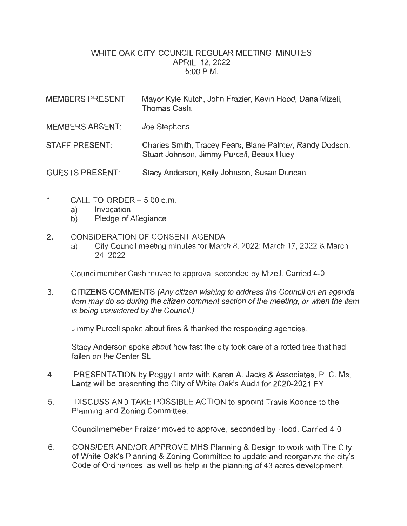## WHITE OAK CITY COUNCIL REGULAR MEETING MINUTES APRIL 12, 2022 5:00 P.M.

| <b>MEMBERS PRESENT:</b> | Mayor Kyle Kutch, John Frazier, Kevin Hood, Dana Mizell,<br>Thomas Cash,                              |
|-------------------------|-------------------------------------------------------------------------------------------------------|
| <b>MEMBERS ABSENT:</b>  | Joe Stephens                                                                                          |
| <b>STAFF PRESENT:</b>   | Charles Smith, Tracey Fears, Blane Palmer, Randy Dodson,<br>Stuart Johnson, Jimmy Purcell, Beaux Huey |
| <b>GUESTS PRESENT:</b>  | Stacy Anderson, Kelly Johnson, Susan Duncan                                                           |

- 1. CALL TO ORDER 5:00 p.m.
	- a) Invocation
	- b) Pledge of Allegiance

## 2. CONSIDERATION OF CONSENT AGENDA

a) City Council meeting minutes for March 8, 2022; March 17, 2022 & March 24, 2022

Councilmember Cash moved to approve, seconded by Mizell. Carried 4-0

3. CITIZENS COMMENTS (Any citizen wishing to address the Council on an agenda item may do so during the citizen comment section of the meeting, or when the item is being considered by the Council.)

Jimmy Purcell spoke about fires & thanked the responding agencies.

Stacy Anderson spoke about how fast the city took care of a rotted tree that had fallen on the Center St.

- 4. PRESENTATION by Peggy Lantz with Karen A. Jacks & Associates, P. C. Ms. Lantz will be presenting the City of White Oak's Audit for 2020-2021 FY.
- 5. DISCUSS AND TAKE POSSIBLE ACTION to appoint Travis Koonce to the Planning and Zoning Committee.

Councilmemeber Fraizer moved to approve, seconded by Hood. Carried 4-0

6. CONSIDER AND/OR APPROVE MHS Planning & Design to work with The City of White Oak's Planning & Zoning Committee to update and reorganize the city's Code of Ordinances, as well as help in the planning of 43 acres development.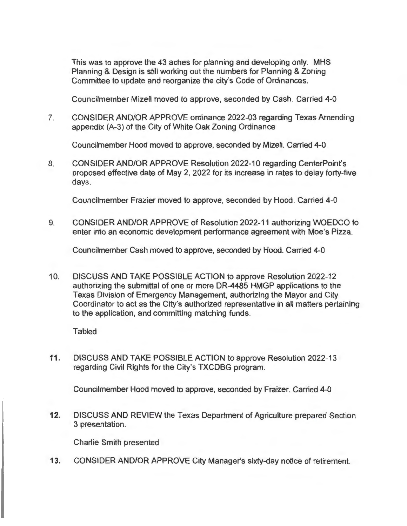This was to approve the 43 aches for planning and developing only. MHS Planning & Design is still working out the numbers for Planning & Zoning Committee to update and reorganize the city's Code of Ordinances.

Councilmember Mizell moved to approve, seconded by Cash . Carried 4-0

7. CONSIDER AND/OR APPROVE ordinance 2022-03 regarding Texas Amending appendix (A-3) of the City of White Oak Zoning Ordinance

Councilmember Hood moved to approve, seconded by Mizell. Carried 4-0

8. CONSIDER AND/OR APPROVE Resolution 2022-10 regarding CenterPoint's proposed effective date of May 2, 2022 for its increase in rates to delay forty-five days.

Councilmember Frazier moved to approve, seconded by Hood. Carried 4-0

9. CONSIDER AND/OR APPROVE of Resolution 2022-11 authorizing WOEDCO to enter into an economic development performance agreement with Moe's Pizza.

Councilmember Cash moved to approve, seconded by Hood. Carried 4-0

10. DISCUSS AND TAKE POSSIBLE ACTION to approve Resolution 2022-12 authorizing the submittal of one or more DR-4485 HMGP applications to the Texas Division of Emergency Management, authorizing the Mayor and City Coordinator to act as the City's authorized representative in all matters pertaining to the application, and committing matching funds.

**Tabled** 

**11.** DISCUSS AND TAKE POSSIBLE ACTION to approve Resolution 2022-13 regarding Civil Rights for the City's TXCDBG program.

Councilmember Hood moved to approve, seconded by Fraizer. Carried 4-0

**12.** DISCUSS AND REVIEW the Texas Department of Agriculture prepared Section 3 presentation.

Charlie Smith presented

**13.** CONSIDER AND/OR APPROVE City Manager's sixty-day notice of retirement.